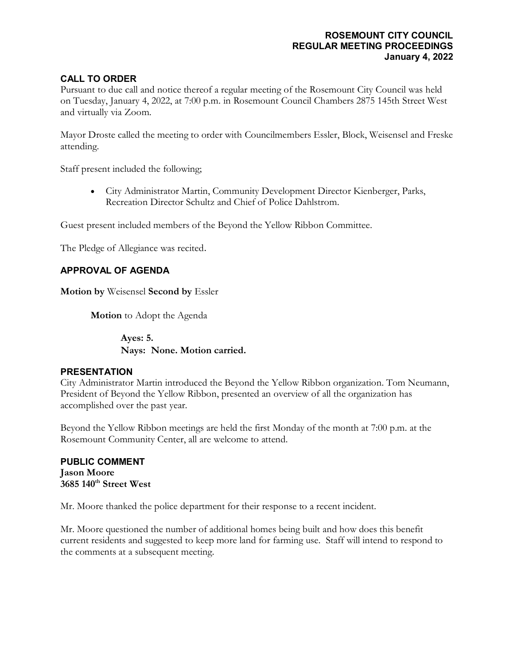## **ROSEMOUNT CITY COUNCIL REGULAR MEETING PROCEEDINGS January 4, 2022**

# **CALL TO ORDER**

Pursuant to due call and notice thereof a regular meeting of the Rosemount City Council was held on Tuesday, January 4, 2022, at 7:00 p.m. in Rosemount Council Chambers 2875 145th Street West and virtually via Zoom.

Mayor Droste called the meeting to order with Councilmembers Essler, Block, Weisensel and Freske attending.

Staff present included the following;

• City Administrator Martin, Community Development Director Kienberger, Parks, Recreation Director Schultz and Chief of Police Dahlstrom.

Guest present included members of the Beyond the Yellow Ribbon Committee.

The Pledge of Allegiance was recited.

# **APPROVAL OF AGENDA**

**Motion by** Weisensel **Second by** Essler

**Motion** to Adopt the Agenda

**Ayes: 5. Nays: None. Motion carried.**

#### **PRESENTATION**

City Administrator Martin introduced the Beyond the Yellow Ribbon organization. Tom Neumann, President of Beyond the Yellow Ribbon, presented an overview of all the organization has accomplished over the past year.

Beyond the Yellow Ribbon meetings are held the first Monday of the month at 7:00 p.m. at the Rosemount Community Center, all are welcome to attend.

**PUBLIC COMMENT Jason Moore 3685 140th Street West**

Mr. Moore thanked the police department for their response to a recent incident.

Mr. Moore questioned the number of additional homes being built and how does this benefit current residents and suggested to keep more land for farming use. Staff will intend to respond to the comments at a subsequent meeting.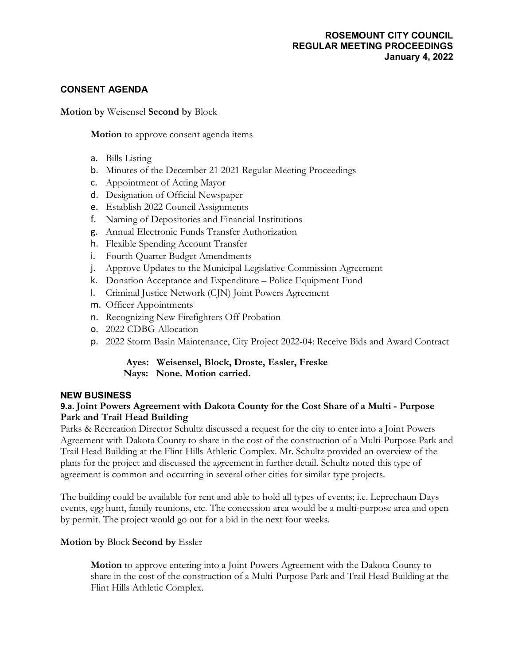## **ROSEMOUNT CITY COUNCIL REGULAR MEETING PROCEEDINGS January 4, 2022**

### **CONSENT AGENDA**

**Motion by** Weisensel **Second by** Block

**Motion** to approve consent agenda items

- a. Bills Listing
- b. Minutes of the December 21 2021 Regular Meeting Proceedings
- c. Appointment of Acting Mayor
- d. Designation of Official Newspaper
- e. Establish 2022 Council Assignments
- f. Naming of Depositories and Financial Institutions
- g. Annual Electronic Funds Transfer Authorization
- h. Flexible Spending Account Transfer
- i. Fourth Quarter Budget Amendments
- j. Approve Updates to the Municipal Legislative Commission Agreement
- k. Donation Acceptance and Expenditure Police Equipment Fund
- l. Criminal Justice Network (CJN) Joint Powers Agreement
- m. Officer Appointments
- n. Recognizing New Firefighters Off Probation
- o. 2022 CDBG Allocation
- p. 2022 Storm Basin Maintenance, City Project 2022-04: Receive Bids and Award Contract

## **Ayes: Weisensel, Block, Droste, Essler, Freske Nays: None. Motion carried.**

#### **NEW BUSINESS**

### **9.a. Joint Powers Agreement with Dakota County for the Cost Share of a Multi - Purpose Park and Trail Head Building**

Parks & Recreation Director Schultz discussed a request for the city to enter into a Joint Powers Agreement with Dakota County to share in the cost of the construction of a Multi-Purpose Park and Trail Head Building at the Flint Hills Athletic Complex. Mr. Schultz provided an overview of the plans for the project and discussed the agreement in further detail. Schultz noted this type of agreement is common and occurring in several other cities for similar type projects.

The building could be available for rent and able to hold all types of events; i.e. Leprechaun Days events, egg hunt, family reunions, etc. The concession area would be a multi-purpose area and open by permit. The project would go out for a bid in the next four weeks.

#### **Motion by** Block **Second by** Essler

**Motion** to approve entering into a Joint Powers Agreement with the Dakota County to share in the cost of the construction of a Multi-Purpose Park and Trail Head Building at the Flint Hills Athletic Complex.